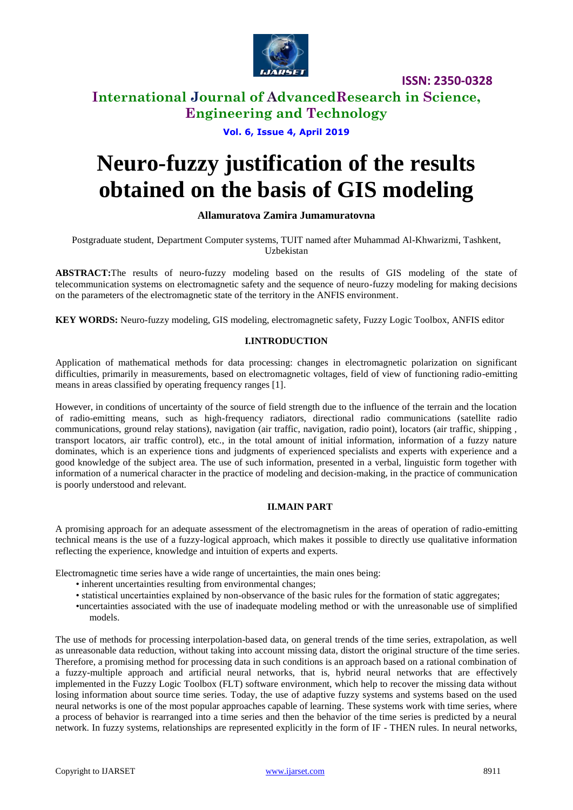

## **International Journal of AdvancedResearch in Science, Engineering and Technology**

#### **Vol. 6, Issue 4, April 2019**

# **Neuro-fuzzy justification of the results obtained on the basis of GIS modeling**

#### **Allamuratova Zamira Jumamuratovna**

Postgraduate student, Department Computer systems, TUIT named after Muhammad Al-Khwarizmi, Tashkent, Uzbekistan

**ABSTRACT:**The results of neuro-fuzzy modeling based on the results of GIS modeling of the state of telecommunication systems on electromagnetic safety and the sequence of neuro-fuzzy modeling for making decisions on the parameters of the electromagnetic state of the territory in the ANFIS environment.

**KEY WORDS:** Neuro-fuzzy modeling, GIS modeling, electromagnetic safety, Fuzzy Logic Toolbox, ANFIS editor

#### **I.INTRODUCTION**

Application of mathematical methods for data processing: changes in electromagnetic polarization on significant difficulties, primarily in measurements, based on electromagnetic voltages, field of view of functioning radio-emitting means in areas classified by operating frequency ranges [1].

However, in conditions of uncertainty of the source of field strength due to the influence of the terrain and the location of radio-emitting means, such as high-frequency radiators, directional radio communications (satellite radio communications, ground relay stations), navigation (air traffic, navigation, radio point), locators (air traffic, shipping , transport locators, air traffic control), etc., in the total amount of initial information, information of a fuzzy nature dominates, which is an experience tions and judgments of experienced specialists and experts with experience and a good knowledge of the subject area. The use of such information, presented in a verbal, linguistic form together with information of a numerical character in the practice of modeling and decision-making, in the practice of communication is poorly understood and relevant.

#### **II.MAIN PART**

A promising approach for an adequate assessment of the electromagnetism in the areas of operation of radio-emitting technical means is the use of a fuzzy-logical approach, which makes it possible to directly use qualitative information reflecting the experience, knowledge and intuition of experts and experts.

Electromagnetic time series have a wide range of uncertainties, the main ones being:

- inherent uncertainties resulting from environmental changes;
- statistical uncertainties explained by non-observance of the basic rules for the formation of static aggregates;
- •uncertainties associated with the use of inadequate modeling method or with the unreasonable use of simplified models.

The use of methods for processing interpolation-based data, on general trends of the time series, extrapolation, as well as unreasonable data reduction, without taking into account missing data, distort the original structure of the time series. Therefore, a promising method for processing data in such conditions is an approach based on a rational combination of a fuzzy-multiple approach and artificial neural networks, that is, hybrid neural networks that are effectively implemented in the Fuzzy Logic Toolbox (FLT) software environment, which help to recover the missing data without losing information about source time series. Today, the use of adaptive fuzzy systems and systems based on the used neural networks is one of the most popular approaches capable of learning. These systems work with time series, where a process of behavior is rearranged into a time series and then the behavior of the time series is predicted by a neural network. In fuzzy systems, relationships are represented explicitly in the form of IF - THEN rules. In neural networks,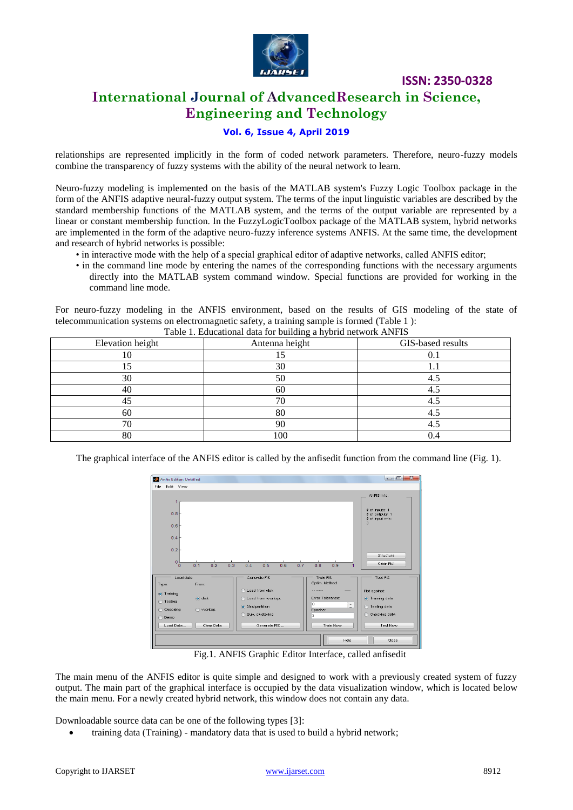

## **International Journal of AdvancedResearch in Science, Engineering and Technology**

#### **Vol. 6, Issue 4, April 2019**

relationships are represented implicitly in the form of coded network parameters. Therefore, neuro-fuzzy models combine the transparency of fuzzy systems with the ability of the neural network to learn.

Neuro-fuzzy modeling is implemented on the basis of the MATLAB system's Fuzzy Logic Toolbox package in the form of the ANFIS adaptive neural-fuzzy output system. The terms of the input linguistic variables are described by the standard membership functions of the MATLAB system, and the terms of the output variable are represented by a linear or constant membership function. In the FuzzyLogicToolbox package of the MATLAB system, hybrid networks are implemented in the form of the adaptive neuro-fuzzy inference systems ANFIS. At the same time, the development and research of hybrid networks is possible:

- in interactive mode with the help of a special graphical editor of adaptive networks, called ANFIS editor;
- in the command line mode by entering the names of the corresponding functions with the necessary arguments directly into the MATLAB system command window. Special functions are provided for working in the command line mode.

For neuro-fuzzy modeling in the ANFIS environment, based on the results of GIS modeling of the state of telecommunication systems on electromagnetic safety, a training sample is formed (Table 1 ):

| Table 1. Educational data for building a hybrid network ANFIS |                |                   |  |  |
|---------------------------------------------------------------|----------------|-------------------|--|--|
| Elevation height                                              | Antenna height | GIS-based results |  |  |
| IO                                                            |                |                   |  |  |
|                                                               | 30             |                   |  |  |
| 30                                                            | 50             | 4.5               |  |  |
| 40                                                            | 60             | 4.5               |  |  |
| 45                                                            | 70             | 4.5               |  |  |
| 60                                                            | 80             | 4.5               |  |  |
| 70                                                            | 90             | 4.5               |  |  |
| 80                                                            | 100            | 0.4               |  |  |

The graphical interface of the ANFIS editor is called by the anfisedit function from the command line (Fig. 1).



Fig.1. ANFIS Graphic Editor Interface, called anfisedit

The main menu of the ANFIS editor is quite simple and designed to work with a previously created system of fuzzy output. The main part of the graphical interface is occupied by the data visualization window, which is located below the main menu. For a newly created hybrid network, this window does not contain any data.

Downloadable source data can be one of the following types [3]:

training data (Training) - mandatory data that is used to build a hybrid network;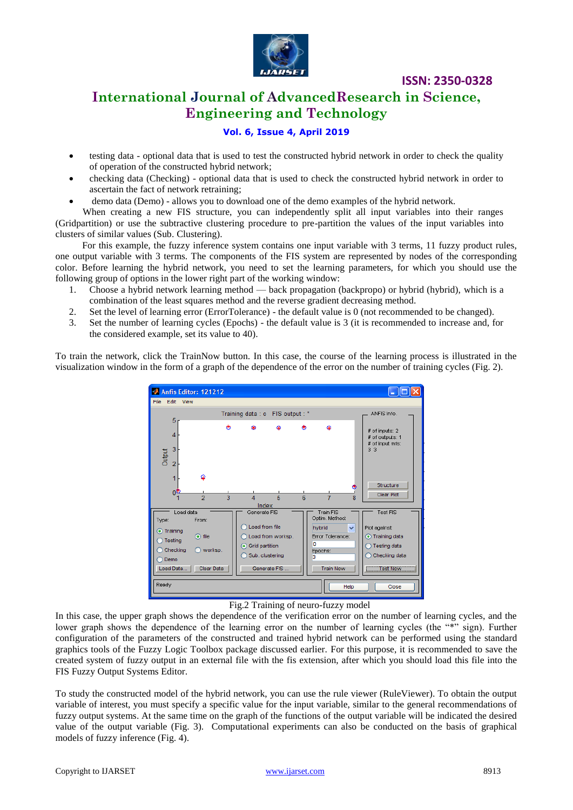

## **International Journal of AdvancedResearch in Science, Engineering and Technology**

#### **Vol. 6, Issue 4, April 2019**

- testing data optional data that is used to test the constructed hybrid network in order to check the quality of operation of the constructed hybrid network;
- checking data (Checking) optional data that is used to check the constructed hybrid network in order to ascertain the fact of network retraining;
- demo data (Demo) allows you to download one of the demo examples of the hybrid network.

When creating a new FIS structure, you can independently split all input variables into their ranges (Gridpartition) or use the subtractive clustering procedure to pre-partition the values of the input variables into clusters of similar values (Sub. Clustering).

For this example, the fuzzy inference system contains one input variable with 3 terms, 11 fuzzy product rules, one output variable with 3 terms. The components of the FIS system are represented by nodes of the corresponding color. Before learning the hybrid network, you need to set the learning parameters, for which you should use the following group of options in the lower right part of the working window:

- 1. Choose a hybrid network learning method back propagation (backpropo) or hybrid (hybrid), which is a combination of the least squares method and the reverse gradient decreasing method.
- 2. Set the level of learning error (ErrorTolerance) the default value is 0 (not recommended to be changed).
- 3. Set the number of learning cycles (Epochs) the default value is 3 (it is recommended to increase and, for the considered example, set its value to 40).

To train the network, click the TrainNow button. In this case, the course of the learning process is illustrated in the visualization window in the form of a graph of the dependence of the error on the number of training cycles (Fig. 2).



#### Fig.2 Training of neuro-fuzzy model

In this case, the upper graph shows the dependence of the verification error on the number of learning cycles, and the lower graph shows the dependence of the learning error on the number of learning cycles (the "\*" sign). Further configuration of the parameters of the constructed and trained hybrid network can be performed using the standard graphics tools of the Fuzzy Logic Toolbox package discussed earlier. For this purpose, it is recommended to save the created system of fuzzy output in an external file with the fis extension, after which you should load this file into the FIS Fuzzy Output Systems Editor.

To study the constructed model of the hybrid network, you can use the rule viewer (RuleViewer). To obtain the output variable of interest, you must specify a specific value for the input variable, similar to the general recommendations of fuzzy output systems. At the same time on the graph of the functions of the output variable will be indicated the desired value of the output variable (Fig. 3). Computational experiments can also be conducted on the basis of graphical models of fuzzy inference (Fig. 4).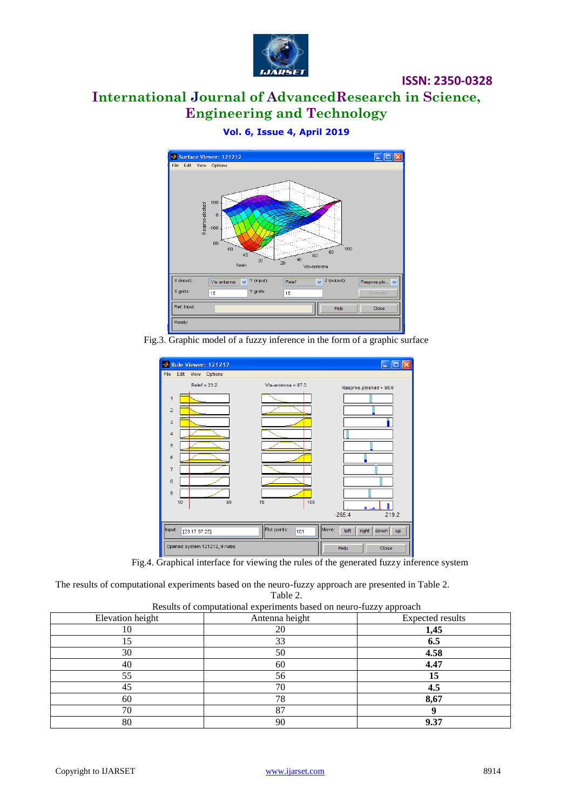

# **International Journal of AdvancedResearch in Science, Engineering and Technology**

**Vol. 6, Issue 4, April 2019**



Fig.3. Graphic model of a fuzzy inference in the form of a graphic surface



Fig.4. Graphical interface for viewing the rules of the generated fuzzy inference system

The results of computational experiments based on the neuro-fuzzy approach are presented in Table 2.

Table 2.

| Results of computational experiments based on neuro-fuzzy approach |  |  |  |
|--------------------------------------------------------------------|--|--|--|
|--------------------------------------------------------------------|--|--|--|

| resens of comparational experiments sasce on nears range approach |                |                         |  |  |
|-------------------------------------------------------------------|----------------|-------------------------|--|--|
| Elevation height                                                  | Antenna height | <b>Expected results</b> |  |  |
| 10                                                                | 20             | 1,45                    |  |  |
| 15                                                                | 33             | 6.5                     |  |  |
| 30                                                                | 50             | 4.58                    |  |  |
| 40                                                                | 60             | 4.47                    |  |  |
| 55                                                                | 56             | 15                      |  |  |
| 45                                                                | 70             | 4.5                     |  |  |
| 60                                                                | 78             | 8,67                    |  |  |
| 70                                                                | 87             |                         |  |  |
| 80                                                                | 90             | 9.37                    |  |  |